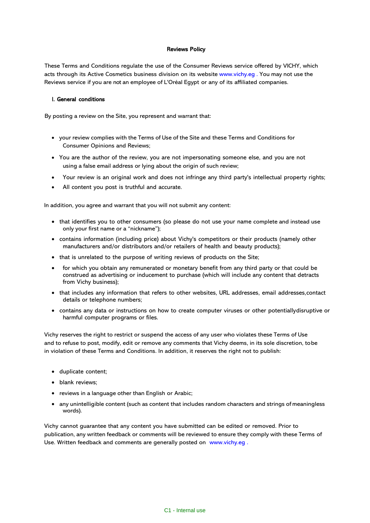### Reviews Policy

These Terms and Conditions regulate the use of the Consumer Reviews service offered by VICHY, which acts through its Active Cosmetics business division on its website [www.vichy.eg](http://www.vichy.es/) . You may not use the Reviews service if you are not an employee of L'Oréal Egypt or any of its affiliated companies.

### I. General conditions

By posting a review on the Site, you represent and warrant that:

- your review complies with the Terms of Use of the Site and these Terms and Conditions for Consumer Opinions and Reviews;
- You are the author of the review, you are not impersonating someone else, and you are not using a false email address or lying about the origin of such review;
- Your review is an original work and does not infringe any third party's intellectual property rights;
- All content you post is truthful and accurate.

In addition, you agree and warrant that you will not submit any content:

- that identifies you to other consumers (so please do not use your name complete and instead use only your first name or a "nickname");
- contains information (including price) about Vichy's competitors or their products (namely other manufacturers and/or distributors and/or retailers of health and beauty products);
- that is unrelated to the purpose of writing reviews of products on the Site;
- for which you obtain any remunerated or monetary benefit from any third party or that could be construed as advertising or inducement to purchase (which will include any content that detracts from Vichy business);
- that includes any information that refers to other websites, URL addresses, email addresses,contact details or telephone numbers;
- contains any data or instructions on how to create computer viruses or other potentiallydisruptive or harmful computer programs or files.

Vichy reserves the right to restrict or suspend the access of any user who violates these Terms of Use and to refuse to post, modify, edit or remove any comments that Vichy deems, in its sole discretion, tobe in violation of these Terms and Conditions. In addition, it reserves the right not to publish:

- duplicate content;
- blank reviews;
- reviews in a language other than English or Arabic;
- any unintelligible content (such as content that includes random characters and strings of meaningless words).

Vichy cannot guarantee that any content you have submitted can be edited or removed. Prior to publication, any written feedback or comments will be reviewed to ensure they comply with these Terms of Use. Written feedback and comments are generally posted on [www.vichy.eg](http://www.vichy.es/) .